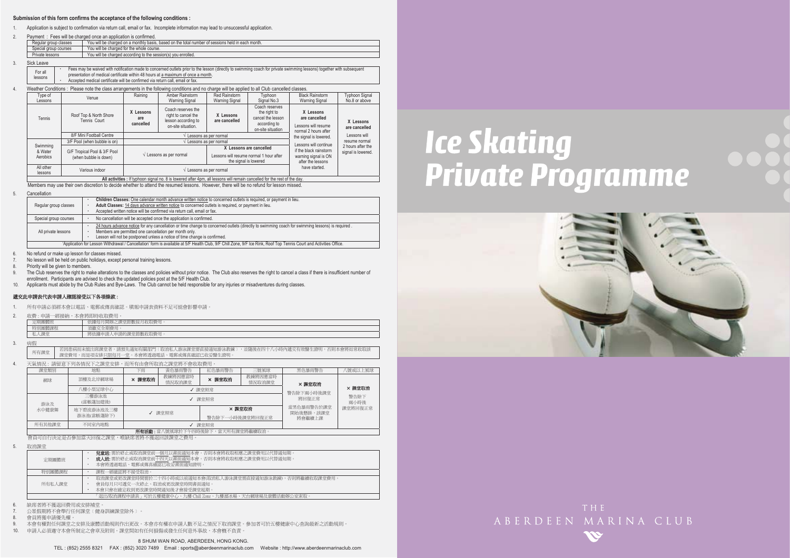### **Submission of this form confirms the acceptance of the following conditions :**

1.Application is subject to confirmation via return call, email or fax. Incomplete information may lead to unsuccessful application.

| Fees will be charged once an application is confirmed.<br>Payment:                                                         |  |  |  |  |  |  |  |  |
|----------------------------------------------------------------------------------------------------------------------------|--|--|--|--|--|--|--|--|
| You will be charged on a monthly basis, based on the total number of sessions held in each month.<br>Regular group classes |  |  |  |  |  |  |  |  |
| You will be charged for the whole course.<br>Special group courses                                                         |  |  |  |  |  |  |  |  |
| Private lessons<br>You will be charged according to the session(s) you enrolled.                                           |  |  |  |  |  |  |  |  |
|                                                                                                                            |  |  |  |  |  |  |  |  |

3.Sick Leave

4.

2.

| ,,,,,,,,,, |                                                                                                                                                                       |
|------------|-----------------------------------------------------------------------------------------------------------------------------------------------------------------------|
| For all    | Fees may be waived with notification made to concerned outlets prior to the lesson (directly to swimming coach for private swimming lessons) together with subsequent |
| lessons    | presentation of medical certificate within 48 hours at a maximum of once a month.                                                                                     |
|            | Accepted medical certificate will be confirmed via return call, email or fax.                                                                                         |

### Weather Conditions : Please note the class arrangements in the following conditions and no charge will be applied to all Club cancelled classes.

| Type of<br>Lessons   | Venue                                                                                               | Raining                                    | Amber Rainstorm<br><b>Warning Signal</b>                                               | Red Rainstorm<br>Warning Signal                                  | Typhoon<br>Signal No.3                                                                   | <b>Black Rainstorm</b><br><b>Warning Signal</b>                           | <b>Typhoon Signal</b><br>No.8 or above |
|----------------------|-----------------------------------------------------------------------------------------------------|--------------------------------------------|----------------------------------------------------------------------------------------|------------------------------------------------------------------|------------------------------------------------------------------------------------------|---------------------------------------------------------------------------|----------------------------------------|
| Tennis               | Roof Top & North Shore<br>Tennis Court                                                              | X Lessons<br>are<br>cancelled              | Coach reserves the<br>right to cancel the<br>lesson according to<br>on-site situation. | X Lessons<br>are cancelled                                       | Coach reserves<br>the right to<br>cancel the lesson<br>according to<br>on-site situation | X Lessons<br>are cancelled<br>Lessons will resume<br>normal 2 hours after | X Lessons<br>are cancelled             |
|                      | 8/F Mini Football Centre                                                                            |                                            |                                                                                        | Lessons as per normal                                            |                                                                                          | the signal is lowered.                                                    | Lessons will                           |
|                      | 3/F Pool (when bubble is on)                                                                        |                                            |                                                                                        | Lessons as per normal                                            |                                                                                          | Lessons will continue                                                     | resume normal                          |
| Swimming<br>& Water  | G/F Tropical Pool & 3/F Pool<br>$\sqrt{\phantom{a}}$ Lessons as per normal<br>(when bubble is down) |                                            | X Lessons are cancelled                                                                |                                                                  |                                                                                          | if the black rainstorm                                                    | 2 hours after the                      |
| Aerobics             |                                                                                                     |                                            |                                                                                        | Lessons will resume normal 1 hour after<br>the signal is lowered |                                                                                          | warning signal is ON<br>after the lessons                                 | signal is lowered.                     |
| All other<br>lessons | Various indoor                                                                                      | $\sqrt{\phantom{a}}$ Lessons as per normal |                                                                                        |                                                                  |                                                                                          | have started.                                                             |                                        |

**All activities :** If typhoon signal no. 8 is lowered after 4pm, all lessons will remain cancelled for the rest of the day.

Members may use their own discretion to decide whether to attend the resumed lessons. However, there will be no refund for lesson missed.

#### 5.Cancellation

|                                                                                                                                                                     |                       | Children Classes: One calendar month advance written notice to concerned outlets is required, or payment in lieu.                               |  |  |  |  |  |  |
|---------------------------------------------------------------------------------------------------------------------------------------------------------------------|-----------------------|-------------------------------------------------------------------------------------------------------------------------------------------------|--|--|--|--|--|--|
|                                                                                                                                                                     | Regular group classes | Adult Classes: 14 days advance written notice to concerned outlets is required, or payment in lieu.                                             |  |  |  |  |  |  |
|                                                                                                                                                                     |                       | Accepted written notice will be confirmed via return call, email or fax.                                                                        |  |  |  |  |  |  |
| No cancellation will be accepted once the application is confirmed.<br>Special group courses                                                                        |                       |                                                                                                                                                 |  |  |  |  |  |  |
|                                                                                                                                                                     | All private lessons   | 24 hours advance notice for any cancellation or time change to concerned outlets (directly to swimming coach for swimming lessons) is required. |  |  |  |  |  |  |
|                                                                                                                                                                     |                       | Members are permitted one cancellation per month only.                                                                                          |  |  |  |  |  |  |
|                                                                                                                                                                     |                       | Lesson will not be postponed unless a notice of time change is confirmed.                                                                       |  |  |  |  |  |  |
| 'Application for Lesson Withdrawal / Cancellation' form is available at 5/F Health Club, 9/F Chill Zone, 9/F Ice Rink, Roof Top Tennis Court and Activities Office. |                       |                                                                                                                                                 |  |  |  |  |  |  |

No refund or make up lesson for classes missed.

7.No lesson will be held on public holidays, except personal training lessons.

8.Priority will be given to members.

9. The Club reserves the right to make alterations to the classes and policies without prior notice. The Club also reserves the right to cancel a class if there is insufficient number of enrollment. Participants are advised to check the updated policies post at the 5/F Health Club.

10. Applicants must abide by the Club Rules and Bye-Laws. The Club cannot be held responsible for any injuries or misadventures during classes.

### 遞交此申請表代表申請人確認接受以下各項條款:

1. 所有申請必須經本會以電話、電郵或傳真確認。填報申請表資料不足可能會影響申請。

2. 收費 : 申請一經接納,本會將即時收取費用。

| 1 HAY 27.1                       | <b>JIR</b><br>l tûr<br>"一 可以以为。。<br>an a                           |
|----------------------------------|--------------------------------------------------------------------|
| 他知<br>NU ANG ING KALENDARY       | <b>60x 2775</b><br>須繳<br><b>CALLAS</b><br><br>$\sim$ $\sim$ $\sim$ |
| 当用。<br>. .<br>250<br>$ \sqrt{W}$ | 將依據申請<br>.申請的話<br>Ħ<br>- 人耳又有手"<br>$\cdots$                        |
|                                  |                                                                    |

3.病假

6.

│ 若因患病而未能出席課堂者,請預先通知有關部門〔取消私人游泳課堂需直接通知游泳教練〕,並隨後在四十八小時內遞交有效醫生證明,否則本會將如常收取該<br>所有課堂 課堂費用,而是項安排只限每月一堂。本會將透過電話、電郵或傳真確認已收妥醫生證明。

4.天氣情況:請留意下列各情況下之課堂安排,而所有由會所取消之課堂將不會收取費用

| 課堂類別   | 地點                                                                                                                                                                                                                                                                                              | 下雨     | 黃色暴雨警告            | 紅色暴雨警告 | 三號風球                    | 黑色暴雨警告     | 、號或以上風球      |  |  |
|--------|-------------------------------------------------------------------------------------------------------------------------------------------------------------------------------------------------------------------------------------------------------------------------------------------------|--------|-------------------|--------|-------------------------|------------|--------------|--|--|
| 網球     | 頂樓及北岸網球場                                                                                                                                                                                                                                                                                        | × 課堂取消 | 教練將因應當時<br>情況取消課堂 | × 課堂取消 | 教練將因應當時<br>情況取消課堂       | × 課堂取消     |              |  |  |
|        | 八樓小型足球中心                                                                                                                                                                                                                                                                                        | √ 課堂照常 |                   |        |                         | 警告除下兩小時後課堂 | × 課堂取消       |  |  |
| 游泳及    | 三樓游泳池<br>(當帳蓬加建後)                                                                                                                                                                                                                                                                               |        |                   | √ 課堂昭堂 |                         | 將回復正常      | 警告除下<br>兩小時後 |  |  |
| 水中健康舞  | 地下碧波游泳池及三樓<br>游泳池(當帳蓬除下)                                                                                                                                                                                                                                                                        |        | × 課堂取消<br>√ 課堂照常  |        | 常黑色暴雨警告於課堂<br>開始後懸掛,該課堂 | 課堂將回復正常    |              |  |  |
|        | 警告除下一小時後課堂將回復正常                                                                                                                                                                                                                                                                                 |        | 將會繼續上課            |        |                         |            |              |  |  |
| 所有其他課堂 | 不同室内地點                                                                                                                                                                                                                                                                                          | √ 課堂照常 |                   |        |                         |            |              |  |  |
|        | after advertised and the contract of the first section of the contract of the section of the contract of the contract of the contract of the contract of the contract of the contract of the contract of the contract of the c<br>ALL wave after all content who is the disks deducation to the |        |                   |        |                         |            |              |  |  |

ڶࢬ೯ʳˍʳᅝԶᇆଅ࣍Հ֑ழ৵ೈՀΔᅝ֚ڶࢬᓰഘലᤉᥛ࠷ΖΖʳشᇠᓰഘհ၄ڃലլᛧಯஂृഄ༚հᓰഘΔڃ֚ᅝףܡਢࡳެ۩۞ױᄎ

5. 取消課堂

| 定期團體班                                                      | <b>兒童班:</b> 需於終止或取消課堂前一個月以書面通知本會。否則本會將收取相應之課堂費用以代替通知期<br>成人班:需於終止或取消課堂前十四天以書面通知本會。否則本會將收取相應之課堂費用以代替通知期。<br>本會將诱渦電話、電郵或傳直確認已收妥書面涌知證明。 |  |  |  |  |  |
|------------------------------------------------------------|--------------------------------------------------------------------------------------------------------------------------------------|--|--|--|--|--|
| 課程一經確認將不接受取消。<br>特別團體課程                                    |                                                                                                                                      |  |  |  |  |  |
| 所有私人課堂                                                     | 取消課堂或更改課堂時間需於二十四小時或以前通知本會(取消私人游泳課堂需直接通知游泳教練),否則將繼續收取課堂費用<br>會員每月只可遞交一次終止、取消或更改課堂時間書面通知<br>本會只會在確定收到更改課堂時間通知後才會接受課堂延期。                |  |  |  |  |  |
| 「退出/取消課程申請表」可於五樓健康中心、九樓 Chill Zone、九樓溜冰場、天台網球場及康體活動辦公室索取 · |                                                                                                                                      |  |  |  |  |  |

6.缺席者將不獲退回費用或安排補堂。

7.公眾假期將不會舉行任何課堂(健身訓練課堂除外)。

8.會員將獲申請優先權

9.本會有權對任何課堂之安排及康體活動規則作出更改。本會亦有權在申請人數不足之情況下取消課堂。參加者可於五樓健康中心查詢最新之活動規則。

10. 申請人必須遵守本會所制定之會章及附則。課堂間如有任何損傷或發生任何意外事故,本會槪不負責。

# **Ice Skating Private Programme**





ABERDEEN MARINA CLUB